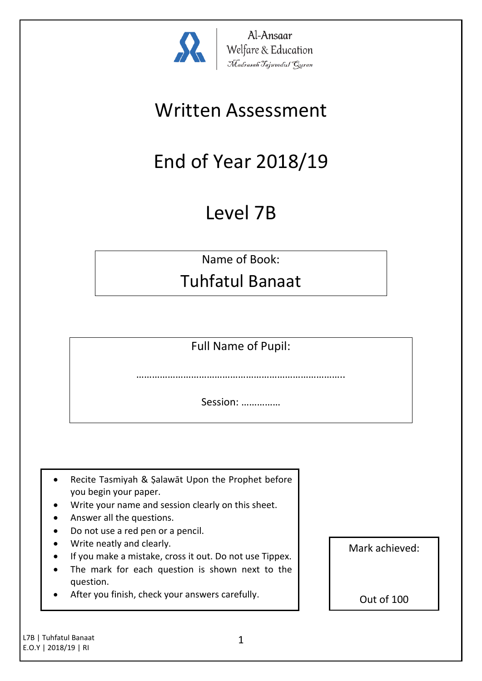

Al-Ansaar Welfare & Education<br>*Madrasah Tajweedul Guran* 

## Written Assessment

# End of Year 2018/19

### Level 7B

Name of Book:

### Tuhfatul Banaat

Full Name of Pupil:

…………………………………………………………

Session: ……………

- Recite Tasmiyah & Şalawāt Upon the Prophet before you begin your paper.
- Write your name and session clearly on this sheet.
- Answer all the questions.
- Do not use a red pen or a pencil.
- Write neatly and clearly.
- If you make a mistake, cross it out. Do not use Tippex.
- The mark for each question is shown next to the question.
- After you finish, check your answers carefully.

Mark achieved:

Out of 100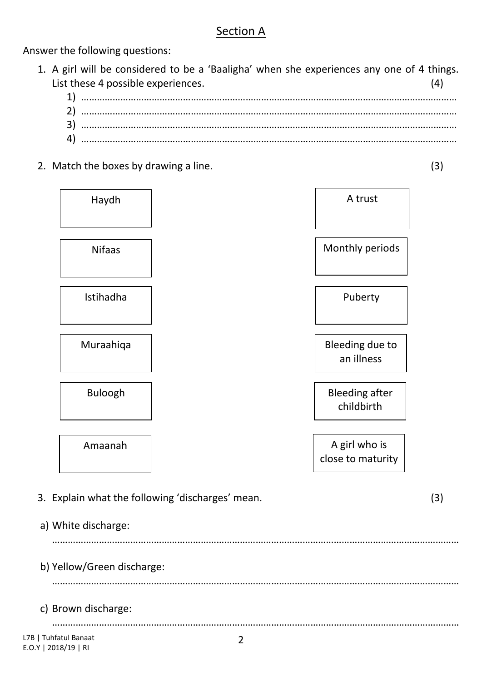#### Section A

Answer the following questions:

| 1. A girl will be considered to be a 'Baaligha' when she experiences any one of 4 things. |  |
|-------------------------------------------------------------------------------------------|--|
| List these 4 possible experiences.                                                        |  |
|                                                                                           |  |
|                                                                                           |  |
|                                                                                           |  |
|                                                                                           |  |

2. Match the boxes by drawing a line. (3)

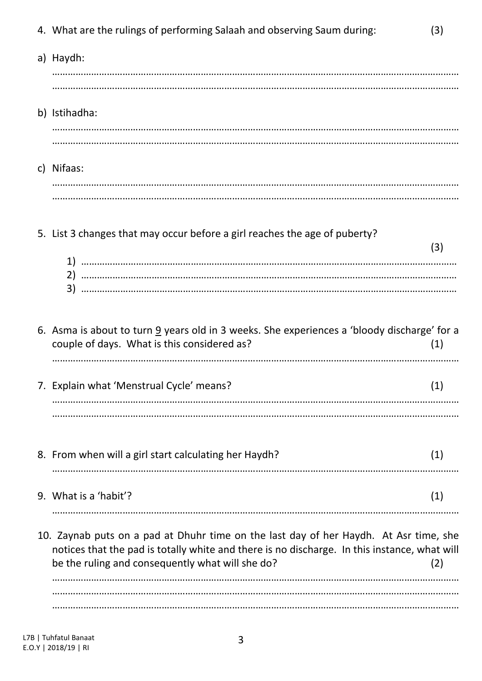| 4. What are the rulings of performing Salaah and observing Saum during:                                                                                                                                                                   | (3) |
|-------------------------------------------------------------------------------------------------------------------------------------------------------------------------------------------------------------------------------------------|-----|
| a) Haydh:                                                                                                                                                                                                                                 |     |
| b) Istihadha:                                                                                                                                                                                                                             |     |
| c) Nifaas:                                                                                                                                                                                                                                |     |
| 5. List 3 changes that may occur before a girl reaches the age of puberty?                                                                                                                                                                | (3) |
| 6. Asma is about to turn 9 years old in 3 weeks. She experiences a 'bloody discharge' for a<br>couple of days. What is this considered as?                                                                                                | (1) |
| 7. Explain what 'Menstrual Cycle' means?                                                                                                                                                                                                  | (1) |
| 8. From when will a girl start calculating her Haydh?                                                                                                                                                                                     | (1) |
| 9. What is a 'habit'?                                                                                                                                                                                                                     | (1) |
| 10. Zaynab puts on a pad at Dhuhr time on the last day of her Haydh. At Asr time, she<br>notices that the pad is totally white and there is no discharge. In this instance, what will<br>be the ruling and consequently what will she do? | (2) |

…………………………………………………………………………………………………………………………………………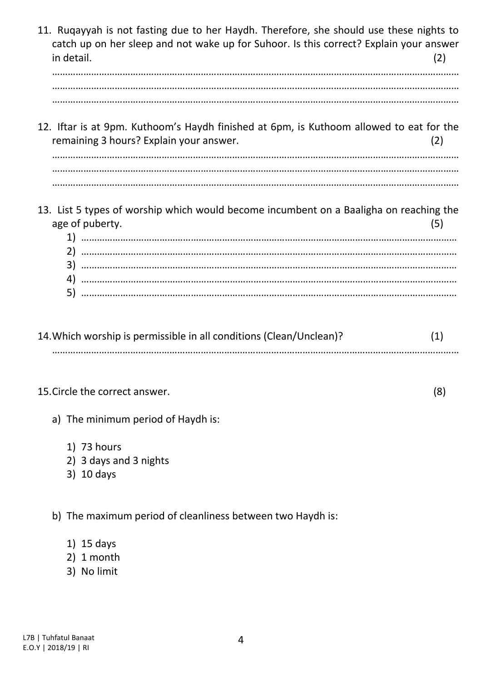| 11. Rugayyah is not fasting due to her Haydh. Therefore, she should use these nights to<br>catch up on her sleep and not wake up for Suhoor. Is this correct? Explain your answer<br>in detail. | (2) |
|-------------------------------------------------------------------------------------------------------------------------------------------------------------------------------------------------|-----|
| 12. Iftar is at 9pm. Kuthoom's Haydh finished at 6pm, is Kuthoom allowed to eat for the<br>remaining 3 hours? Explain your answer.                                                              | (2) |
| 13. List 5 types of worship which would become incumbent on a Baaligha on reaching the<br>age of puberty.<br>3)<br>4)<br>5)                                                                     | (5) |

| 14. Which worship is permissible in all conditions (Clean/Unclean)? |  |
|---------------------------------------------------------------------|--|
|                                                                     |  |

#### 15.Circle the correct answer. (8)

- a) The minimum period of Haydh is:
	- 1) 73 hours
	- 2) 3 days and 3 nights
	- 3) 10 days

b) The maximum period of cleanliness between two Haydh is:

- 1) 15 days
- 2) 1 month
- 3) No limit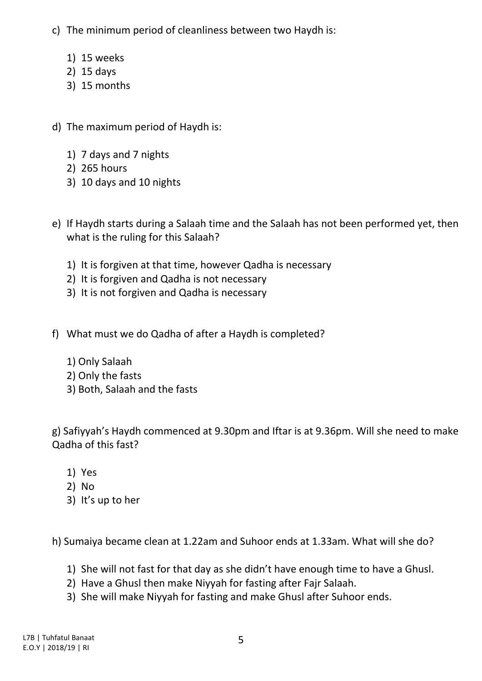- c) The minimum period of cleanliness between two Haydh is:
	- 1) 15 weeks
	- 2) 15 days
	- 3) 15 months
- d) The maximum period of Haydh is:
	- 1) 7 days and 7 nights
	- 2) 265 hours
	- 3) 10 days and 10 nights
- e) If Haydh starts during a Salaah time and the Salaah has not been performed yet, then what is the ruling for this Salaah?
	- 1) It is forgiven at that time, however Qadha is necessary
	- 2) It is forgiven and Qadha is not necessary
	- 3) It is not forgiven and Qadha is necessary
- f) What must we do Qadha of after a Haydh is completed?
	- 1) Only Salaah
	- 2) Only the fasts
	- 3) Both, Salaah and the fasts

g) Safiyyah's Haydh commenced at 9.30pm and Iftar is at 9.36pm. Will she need to make Qadha of this fast?

- 1) Yes
- 2) No
- 3) It's up to her

h) Sumaiya became clean at 1.22am and Suhoor ends at 1.33am. What will she do?

- 1) She will not fast for that day as she didn't have enough time to have a Ghusl.
- 2) Have a Ghusl then make Niyyah for fasting after Fajr Salaah.
- 3) She will make Niyyah for fasting and make Ghusl after Suhoor ends.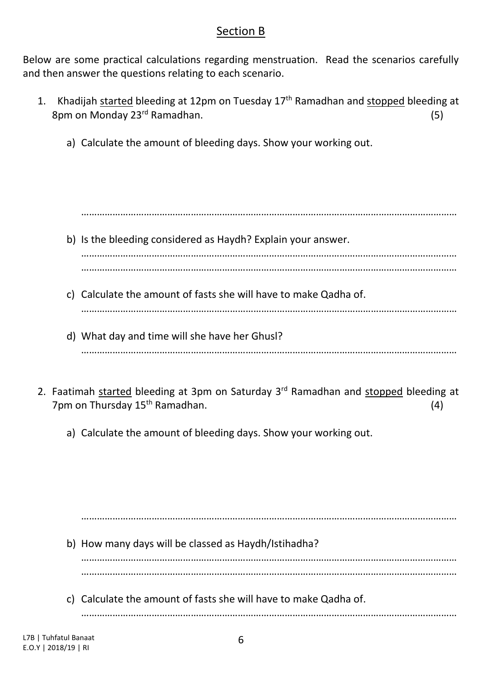#### Section B

Below are some practical calculations regarding menstruation. Read the scenarios carefully and then answer the questions relating to each scenario.

- 1. Khadijah started bleeding at 12pm on Tuesday 17<sup>th</sup> Ramadhan and stopped bleeding at 8pm on Monday 23rd Ramadhan. (5)
	- a) Calculate the amount of bleeding days. Show your working out.

……………………………………………………………………………………………………………………………… b) Is the bleeding considered as Haydh? Explain your answer.

………………………………………………………………………………………………………………………………

- c) Calculate the amount of fasts she will have to make Qadha of.
- d) What day and time will she have her Ghusl? ………………………………………………………………………………………………………………………………

………………………………………………………………………………………………………………………………

- 2. Faatimah started bleeding at 3pm on Saturday 3rd Ramadhan and stopped bleeding at 7pm on Thursday 15<sup>th</sup> Ramadhan. (4)
	- a) Calculate the amount of bleeding days. Show your working out.

……………………………………………………………………………………………………………………………… b) How many days will be classed as Haydh/Istihadha? ……………………………………………………………………………………………………………………………… ……………………………………………………………………………………………………………………………… c) Calculate the amount of fasts she will have to make Qadha of.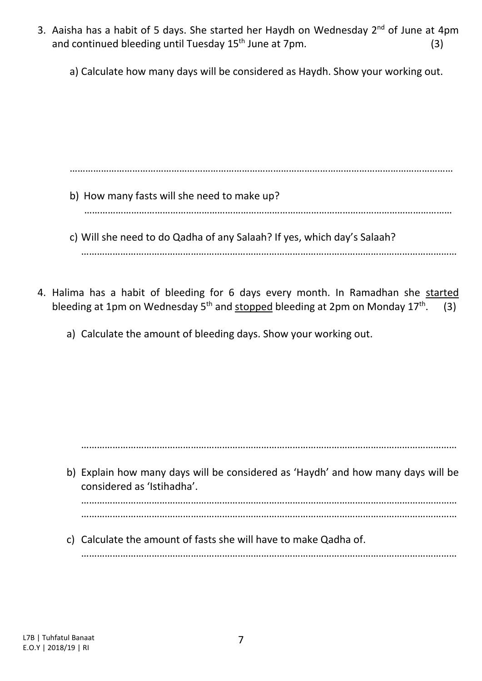- 3. Aaisha has a habit of 5 days. She started her Haydh on Wednesday 2<sup>nd</sup> of June at 4pm and continued bleeding until Tuesday  $15<sup>th</sup>$  June at 7pm.  $(3)$ 
	- a) Calculate how many days will be considered as Haydh. Show your working out.

…………………………………………………………………………………………………………………………………

- b) How many fasts will she need to make up? ……………………………………………………………………………………………………………………………
- c) Will she need to do Qadha of any Salaah? If yes, which day's Salaah? ………………………………………………………………………………………………………………………………
- 4. Halima has a habit of bleeding for 6 days every month. In Ramadhan she started bleeding at 1pm on Wednesday  $5<sup>th</sup>$  and stopped bleeding at 2pm on Monday 17<sup>th</sup>.  $(3)$ 
	- a) Calculate the amount of bleeding days. Show your working out.

………………………………………………………………………………………………………………………………

b) Explain how many days will be considered as 'Haydh' and how many days will be considered as 'Istihadha'.

……………………………………………………………………………………………………………………………… ………………………………………………………………………………………………………………………………

c) Calculate the amount of fasts she will have to make Qadha of.

………………………………………………………………………………………………………………………………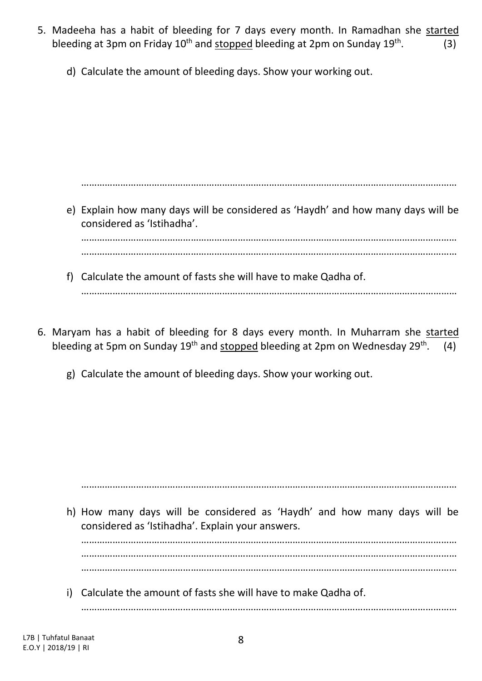- 5. Madeeha has a habit of bleeding for 7 days every month. In Ramadhan she started bleeding at 3pm on Friday 10<sup>th</sup> and <u>stopped</u> bleeding at 2pm on Sunday 19<sup>th</sup>  $(3)$ 
	- d) Calculate the amount of bleeding days. Show your working out.

e) Explain how many days will be considered as 'Haydh' and how many days will be considered as 'Istihadha'. ……………………………………………………………………………………………………………………………… ………………………………………………………………………………………………………………………………

………………………………………………………………………………………………………………………………

- f) Calculate the amount of fasts she will have to make Qadha of. ………………………………………………………………………………………………………………………………
- 6. Maryam has a habit of bleeding for 8 days every month. In Muharram she started bleeding at 5pm on Sunday 19<sup>th</sup> and stopped bleeding at 2pm on Wednesday 29<sup>th</sup>.  $(4)$ 
	- g) Calculate the amount of bleeding days. Show your working out.

h) How many days will be considered as 'Haydh' and how many days will be considered as 'Istihadha'. Explain your answers. ……………………………………………………………………………………………………………………………… ………………………………………………………………………………………………………………………………

………………………………………………………………………………………………………………………………

………………………………………………………………………………………………………………………………

i) Calculate the amount of fasts she will have to make Qadha of.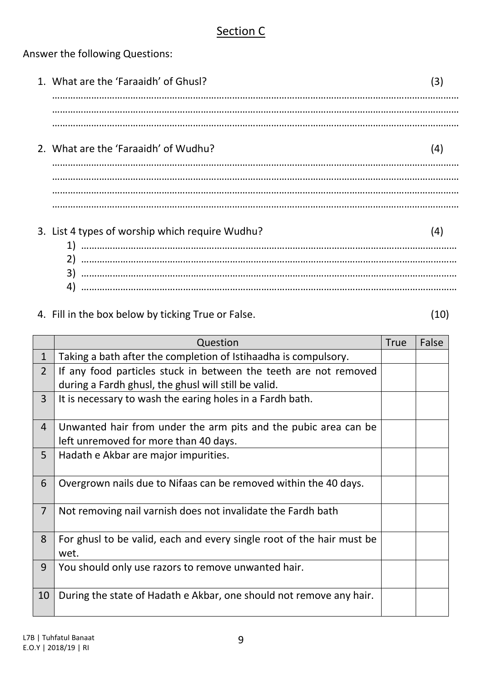#### Section C

Answer the following Questions:

1. What are the 'Faraaidh' of Ghusl? (3) …………………………………………………………………………………………………………………………………………

………………………………………………………………………………………………………………………………………… …………………………………………………………………………………………………………………………………………

2. What are the 'Faraaidh' of Wudhu? (4)

………………………………………………………………………………………………………………………………………… ………………………………………………………………………………………………………………………………………… …………………………………………………………………………………………………………………………………………

#### 3. List 4 types of worship which require Wudhu? (4) 1) ……………………………………………………………………………………………………………………………… 2) ……………………………………………………………………………………………………………………………… 3) ……………………………………………………………………………………………………………………………… 4) ………………………………………………………………………………………………………………………………

#### 4. Fill in the box below by ticking True or False. (10)

Question and True False 1 Taking a bath after the completion of Istihaadha is compulsory. 2 If any food particles stuck in between the teeth are not removed during a Fardh ghusl, the ghusl will still be valid. 3 | It is necessary to wash the earing holes in a Fardh bath. 4 Unwanted hair from under the arm pits and the pubic area can be left unremoved for more than 40 days. 5 | Hadath e Akbar are major impurities. 6 Overgrown nails due to Nifaas can be removed within the 40 days. 7 Not removing nail varnish does not invalidate the Fardh bath 8 For ghusl to be valid, each and every single root of the hair must be wet. 9 You should only use razors to remove unwanted hair. 10 During the state of Hadath e Akbar, one should not remove any hair.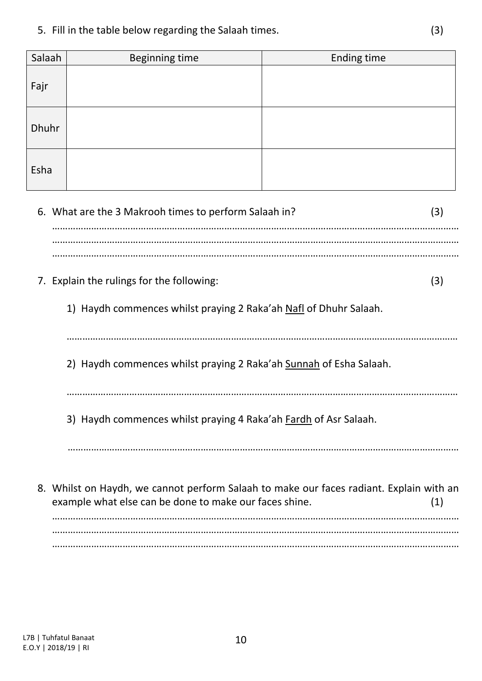5. Fill in the table below regarding the Salaah times. (3)

| Salaah       | <b>Beginning time</b>                                                                                                                                    | <b>Ending time</b> |  |  |
|--------------|----------------------------------------------------------------------------------------------------------------------------------------------------------|--------------------|--|--|
| Fajr         |                                                                                                                                                          |                    |  |  |
| <b>Dhuhr</b> |                                                                                                                                                          |                    |  |  |
| Esha         |                                                                                                                                                          |                    |  |  |
|              | 6. What are the 3 Makrooh times to perform Salaah in?<br>(3)                                                                                             |                    |  |  |
|              |                                                                                                                                                          |                    |  |  |
|              | 7. Explain the rulings for the following:<br>(3)                                                                                                         |                    |  |  |
|              | 1) Haydh commences whilst praying 2 Raka'ah Nafl of Dhuhr Salaah.                                                                                        |                    |  |  |
|              | 2) Haydh commences whilst praying 2 Raka'ah Sunnah of Esha Salaah.                                                                                       |                    |  |  |
|              | 3) Haydh commences whilst praying 4 Raka'ah Fardh of Asr Salaah.                                                                                         |                    |  |  |
|              |                                                                                                                                                          |                    |  |  |
|              | 8. Whilst on Haydh, we cannot perform Salaah to make our faces radiant. Explain with an<br>example what else can be done to make our faces shine.<br>(1) |                    |  |  |

………………………………………………………………………………………………………………………………………… …………………………………………………………………………………………………………………………………………